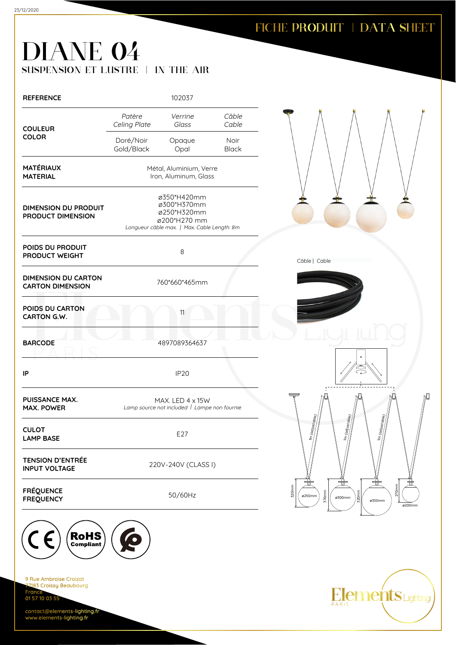contact@elements-lighting.fr www.elements-lighting.fr

## FICHE PRODUIT | DATA SHEET

## DIANE 04 SUSPENSION ET LUSTRE | IN THE AIR

| Câble<br>Patère<br>Verrine<br>Celing Plate<br>Glass<br>Cable<br><b>COULEUR</b><br><b>COLOR</b><br>Doré/Noir<br>Noir<br>Opaque<br>Gold/Black<br>Opal<br><b>Black</b><br><b>MATÉRIAUX</b><br>Métal, Aluminium, Verre<br>Iron, Aluminum, Glass<br><b>MATERIAL</b><br>ø350*H420mm<br>ø300*H370mm<br><b>DIMENSION DU PRODUIT</b><br>ø250*H320mm<br>PRODUCT DIMENSION<br>ø200*H270 mm<br>Longueur câble max.   Max. Cable Length: 8m<br>POIDS DU PRODUIT<br>8<br>PRODUCT WEIGHT<br><b>DIMENSION DU CARTON</b><br>760*660*465mm<br><b>CARTON DIMENSION</b><br>POIDS DU CARTON<br>11<br>CARTON G.W.<br>4897089364637<br><b>BARCODE</b><br>IP<br>IP <sub>20</sub><br><b>PUISSANCE MAX.</b><br>MAX. LED 4 x 15W<br>Lamp source not included   Lampe non fournie<br><b>MAX. POWER</b><br><b>CULOT</b><br>E27<br><b>LAMP BASE</b><br><b>TENSION D'ENTRÉE</b><br>220V-240V (CLASS I)<br><b>INPUT VOLTAGE</b><br>320mm<br><b>FRÉQUENCE</b><br>50/60Hz<br><b>FREQUENCY</b> | <b>REFERENCE</b>                                  |   | 102037 |  |
|-------------------------------------------------------------------------------------------------------------------------------------------------------------------------------------------------------------------------------------------------------------------------------------------------------------------------------------------------------------------------------------------------------------------------------------------------------------------------------------------------------------------------------------------------------------------------------------------------------------------------------------------------------------------------------------------------------------------------------------------------------------------------------------------------------------------------------------------------------------------------------------------------------------------------------------------------------------|---------------------------------------------------|---|--------|--|
|                                                                                                                                                                                                                                                                                                                                                                                                                                                                                                                                                                                                                                                                                                                                                                                                                                                                                                                                                             |                                                   |   |        |  |
|                                                                                                                                                                                                                                                                                                                                                                                                                                                                                                                                                                                                                                                                                                                                                                                                                                                                                                                                                             |                                                   |   |        |  |
|                                                                                                                                                                                                                                                                                                                                                                                                                                                                                                                                                                                                                                                                                                                                                                                                                                                                                                                                                             |                                                   |   |        |  |
| Câble   Cable                                                                                                                                                                                                                                                                                                                                                                                                                                                                                                                                                                                                                                                                                                                                                                                                                                                                                                                                               |                                                   |   |        |  |
|                                                                                                                                                                                                                                                                                                                                                                                                                                                                                                                                                                                                                                                                                                                                                                                                                                                                                                                                                             |                                                   |   |        |  |
| $\bar{r}$                                                                                                                                                                                                                                                                                                                                                                                                                                                                                                                                                                                                                                                                                                                                                                                                                                                                                                                                                   |                                                   |   |        |  |
|                                                                                                                                                                                                                                                                                                                                                                                                                                                                                                                                                                                                                                                                                                                                                                                                                                                                                                                                                             |                                                   |   |        |  |
|                                                                                                                                                                                                                                                                                                                                                                                                                                                                                                                                                                                                                                                                                                                                                                                                                                                                                                                                                             |                                                   |   |        |  |
| adjustable)                                                                                                                                                                                                                                                                                                                                                                                                                                                                                                                                                                                                                                                                                                                                                                                                                                                                                                                                                 |                                                   |   |        |  |
|                                                                                                                                                                                                                                                                                                                                                                                                                                                                                                                                                                                                                                                                                                                                                                                                                                                                                                                                                             |                                                   |   |        |  |
|                                                                                                                                                                                                                                                                                                                                                                                                                                                                                                                                                                                                                                                                                                                                                                                                                                                                                                                                                             |                                                   |   |        |  |
| ø250mm                                                                                                                                                                                                                                                                                                                                                                                                                                                                                                                                                                                                                                                                                                                                                                                                                                                                                                                                                      |                                                   |   |        |  |
|                                                                                                                                                                                                                                                                                                                                                                                                                                                                                                                                                                                                                                                                                                                                                                                                                                                                                                                                                             |                                                   |   |        |  |
|                                                                                                                                                                                                                                                                                                                                                                                                                                                                                                                                                                                                                                                                                                                                                                                                                                                                                                                                                             | <b>RoHS</b><br>È.<br><b>Compliant</b>             | Q |        |  |
|                                                                                                                                                                                                                                                                                                                                                                                                                                                                                                                                                                                                                                                                                                                                                                                                                                                                                                                                                             | 9 Rue Ambroise Croizat<br>77183 Croissy Beaubourg |   |        |  |
|                                                                                                                                                                                                                                                                                                                                                                                                                                                                                                                                                                                                                                                                                                                                                                                                                                                                                                                                                             | France<br>01 57 10 03 55                          |   |        |  |